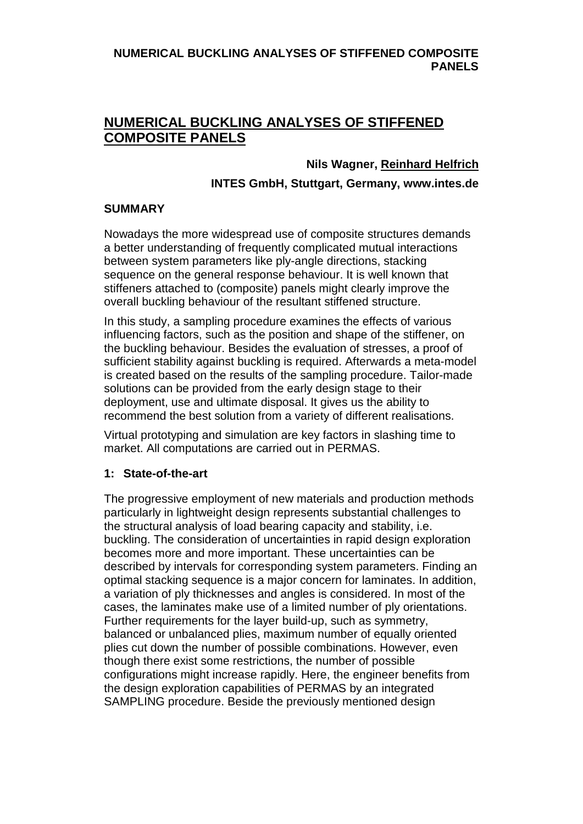#### **NUMERICAL BUCKLING ANALYSES OF STIFFENED COMPOSITE PANELS**

# **NUMERICAL BUCKLING ANALYSES OF STIFFENED COMPOSITE PANELS**

#### **Nils Wagner, Reinhard Helfrich**

#### **INTES GmbH, Stuttgart, Germany, www.intes.de**

#### **SUMMARY**

Nowadays the more widespread use of composite structures demands a better understanding of frequently complicated mutual interactions between system parameters like ply-angle directions, stacking sequence on the general response behaviour. It is well known that stiffeners attached to (composite) panels might clearly improve the overall buckling behaviour of the resultant stiffened structure.

In this study, a sampling procedure examines the effects of various influencing factors, such as the position and shape of the stiffener, on the buckling behaviour. Besides the evaluation of stresses, a proof of sufficient stability against buckling is required. Afterwards a meta-model is created based on the results of the sampling procedure. Tailor-made solutions can be provided from the early design stage to their deployment, use and ultimate disposal. It gives us the ability to recommend the best solution from a variety of different realisations.

Virtual prototyping and simulation are key factors in slashing time to market. All computations are carried out in PERMAS.

#### **1: State-of-the-art**

The progressive employment of new materials and production methods particularly in lightweight design represents substantial challenges to the structural analysis of load bearing capacity and stability, i.e. buckling. The consideration of uncertainties in rapid design exploration becomes more and more important. These uncertainties can be described by intervals for corresponding system parameters. Finding an optimal stacking sequence is a major concern for laminates. In addition, a variation of ply thicknesses and angles is considered. In most of the cases, the laminates make use of a limited number of ply orientations. Further requirements for the layer build-up, such as symmetry, balanced or unbalanced plies, maximum number of equally oriented plies cut down the number of possible combinations. However, even though there exist some restrictions, the number of possible configurations might increase rapidly. Here, the engineer benefits from the design exploration capabilities of PERMAS by an integrated SAMPLING procedure. Beside the previously mentioned design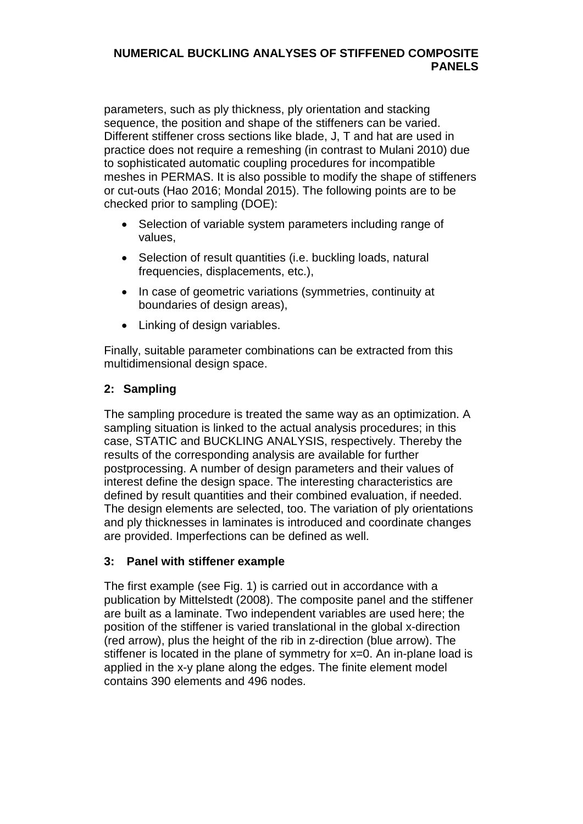#### **NUMERICAL BUCKLING ANALYSES OF STIFFENED COMPOSITE PANELS**

parameters, such as ply thickness, ply orientation and stacking sequence, the position and shape of the stiffeners can be varied. Different stiffener cross sections like blade, J, T and hat are used in practice does not require a remeshing (in contrast to Mulani 2010) due to sophisticated automatic coupling procedures for incompatible meshes in PERMAS. It is also possible to modify the shape of stiffeners or cut-outs (Hao 2016; Mondal 2015). The following points are to be checked prior to sampling (DOE):

- Selection of variable system parameters including range of values,
- Selection of result quantities (i.e. buckling loads, natural frequencies, displacements, etc.),
- In case of geometric variations (symmetries, continuity at boundaries of design areas),
- Linking of design variables.

Finally, suitable parameter combinations can be extracted from this multidimensional design space.

## **2: Sampling**

The sampling procedure is treated the same way as an optimization. A sampling situation is linked to the actual analysis procedures; in this case, STATIC and BUCKLING ANALYSIS, respectively. Thereby the results of the corresponding analysis are available for further postprocessing. A number of design parameters and their values of interest define the design space. The interesting characteristics are defined by result quantities and their combined evaluation, if needed. The design elements are selected, too. The variation of ply orientations and ply thicknesses in laminates is introduced and coordinate changes are provided. Imperfections can be defined as well.

## **3: Panel with stiffener example**

The first example (see Fig. 1) is carried out in accordance with a publication by Mittelstedt (2008). The composite panel and the stiffener are built as a laminate. Two independent variables are used here; the position of the stiffener is varied translational in the global x-direction (red arrow), plus the height of the rib in z-direction (blue arrow). The stiffener is located in the plane of symmetry for x=0. An in-plane load is applied in the x-y plane along the edges. The finite element model contains 390 elements and 496 nodes.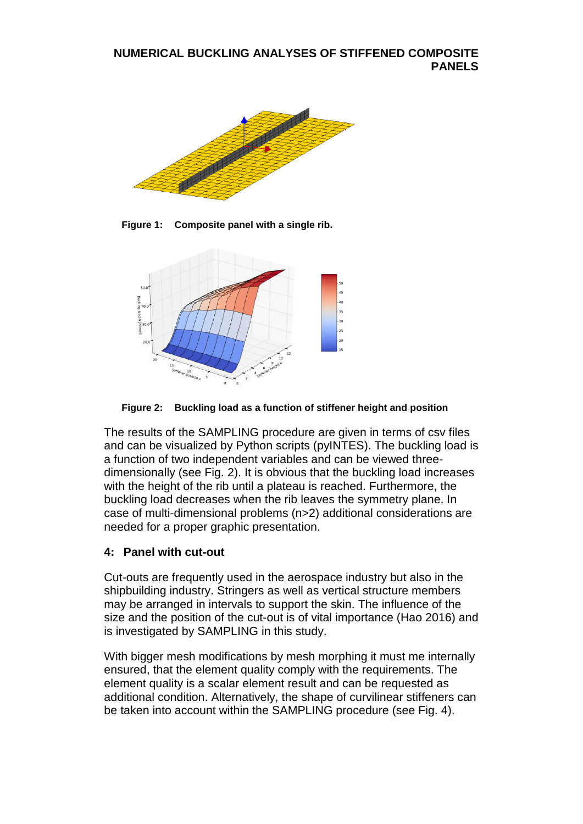

**Figure 1: Composite panel with a single rib.**



**Figure 2: Buckling load as a function of stiffener height and position**

The results of the SAMPLING procedure are given in terms of csv files and can be visualized by Python scripts (pyINTES). The buckling load is a function of two independent variables and can be viewed threedimensionally (see Fig. 2). It is obvious that the buckling load increases with the height of the rib until a plateau is reached. Furthermore, the buckling load decreases when the rib leaves the symmetry plane. In case of multi-dimensional problems (n>2) additional considerations are needed for a proper graphic presentation.

## **4: Panel with cut-out**

Cut-outs are frequently used in the aerospace industry but also in the shipbuilding industry. Stringers as well as vertical structure members may be arranged in intervals to support the skin. The influence of the size and the position of the cut-out is of vital importance (Hao 2016) and is investigated by SAMPLING in this study.

With bigger mesh modifications by mesh morphing it must me internally ensured, that the element quality comply with the requirements. The element quality is a scalar element result and can be requested as additional condition. Alternatively, the shape of curvilinear stiffeners can be taken into account within the SAMPLING procedure (see Fig. 4).